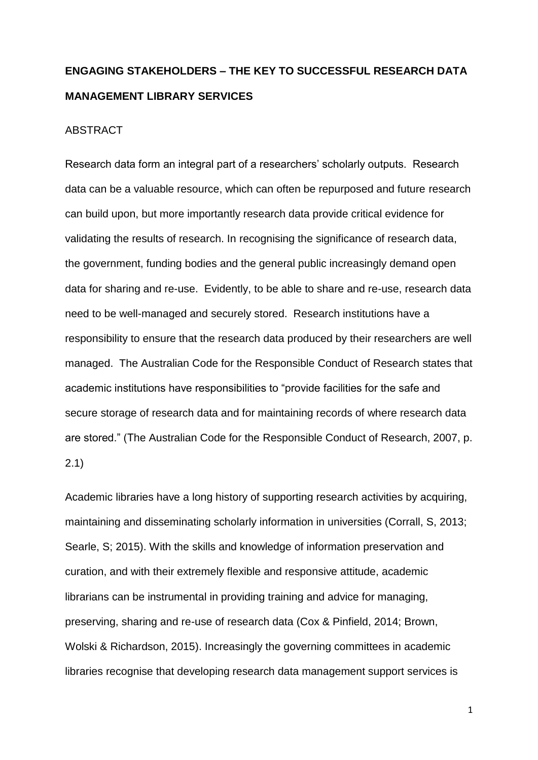# **ENGAGING STAKEHOLDERS – THE KEY TO SUCCESSFUL RESEARCH DATA MANAGEMENT LIBRARY SERVICES**

# ABSTRACT

Research data form an integral part of a researchers' scholarly outputs. Research data can be a valuable resource, which can often be repurposed and future research can build upon, but more importantly research data provide critical evidence for validating the results of research. In recognising the significance of research data, the government, funding bodies and the general public increasingly demand open data for sharing and re-use. Evidently, to be able to share and re-use, research data need to be well-managed and securely stored. Research institutions have a responsibility to ensure that the research data produced by their researchers are well managed. The Australian Code for the Responsible Conduct of Research states that academic institutions have responsibilities to "provide facilities for the safe and secure storage of research data and for maintaining records of where research data are stored." (The Australian Code for the Responsible Conduct of Research, 2007, p. 2.1)

Academic libraries have a long history of supporting research activities by acquiring, maintaining and disseminating scholarly information in universities (Corrall, S, 2013; Searle, S; 2015). With the skills and knowledge of information preservation and curation, and with their extremely flexible and responsive attitude, academic librarians can be instrumental in providing training and advice for managing, preserving, sharing and re-use of research data (Cox & Pinfield, 2014; Brown, Wolski & Richardson, 2015). Increasingly the governing committees in academic libraries recognise that developing research data management support services is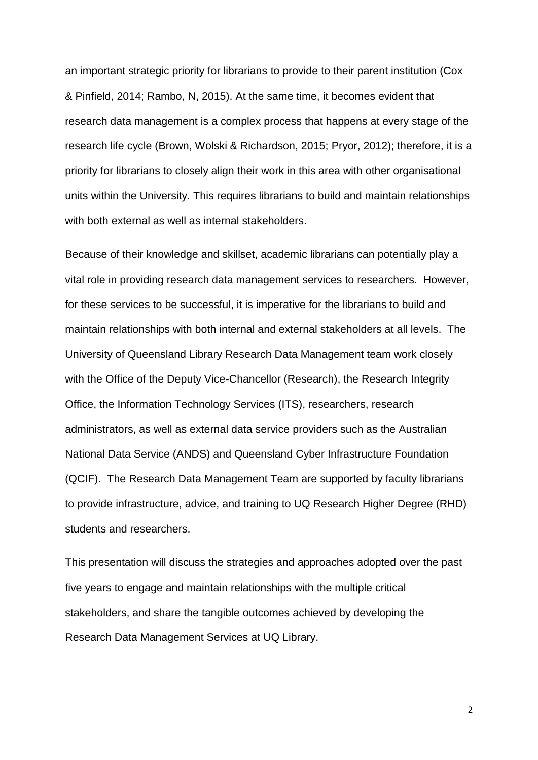an important strategic priority for librarians to provide to their parent institution (Cox & Pinfield, 2014; Rambo, N, 2015). At the same time, it becomes evident that research data management is a complex process that happens at every stage of the research life cycle (Brown, Wolski & Richardson, 2015; Pryor, 2012); therefore, it is a priority for librarians to closely align their work in this area with other organisational units within the University. This requires librarians to build and maintain relationships with both external as well as internal stakeholders.

Because of their knowledge and skillset, academic librarians can potentially play a vital role in providing research data management services to researchers. However, for these services to be successful, it is imperative for the librarians to build and maintain relationships with both internal and external stakeholders at all levels. The University of Queensland Library Research Data Management team work closely with the Office of the Deputy Vice-Chancellor (Research), the Research Integrity Office, the Information Technology Services (ITS), researchers, research administrators, as well as external data service providers such as the Australian National Data Service (ANDS) and Queensland Cyber Infrastructure Foundation (QCIF). The Research Data Management Team are supported by faculty librarians to provide infrastructure, advice, and training to UQ Research Higher Degree (RHD) students and researchers.

This presentation will discuss the strategies and approaches adopted over the past five years to engage and maintain relationships with the multiple critical stakeholders, and share the tangible outcomes achieved by developing the Research Data Management Services at UQ Library.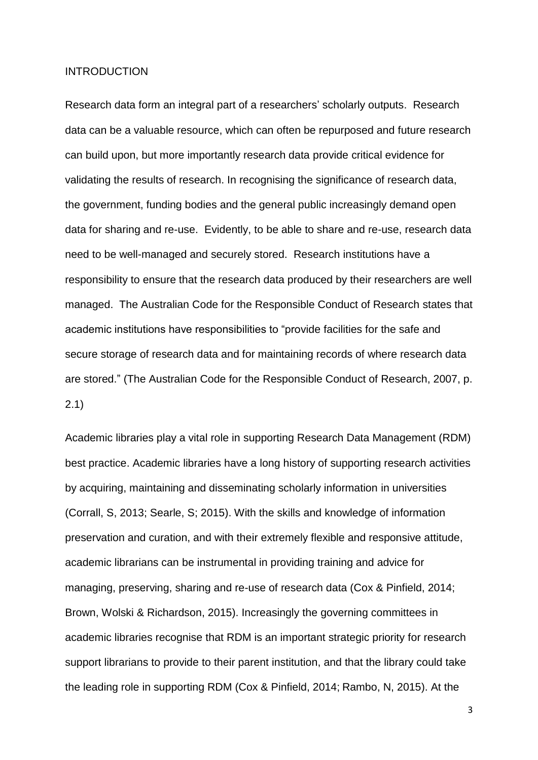## INTRODUCTION

Research data form an integral part of a researchers' scholarly outputs. Research data can be a valuable resource, which can often be repurposed and future research can build upon, but more importantly research data provide critical evidence for validating the results of research. In recognising the significance of research data, the government, funding bodies and the general public increasingly demand open data for sharing and re-use. Evidently, to be able to share and re-use, research data need to be well-managed and securely stored. Research institutions have a responsibility to ensure that the research data produced by their researchers are well managed. The Australian Code for the Responsible Conduct of Research states that academic institutions have responsibilities to "provide facilities for the safe and secure storage of research data and for maintaining records of where research data are stored." (The Australian Code for the Responsible Conduct of Research, 2007, p. 2.1)

Academic libraries play a vital role in supporting Research Data Management (RDM) best practice. Academic libraries have a long history of supporting research activities by acquiring, maintaining and disseminating scholarly information in universities (Corrall, S, 2013; Searle, S; 2015). With the skills and knowledge of information preservation and curation, and with their extremely flexible and responsive attitude, academic librarians can be instrumental in providing training and advice for managing, preserving, sharing and re-use of research data (Cox & Pinfield, 2014; Brown, Wolski & Richardson, 2015). Increasingly the governing committees in academic libraries recognise that RDM is an important strategic priority for research support librarians to provide to their parent institution, and that the library could take the leading role in supporting RDM (Cox & Pinfield, 2014; Rambo, N, 2015). At the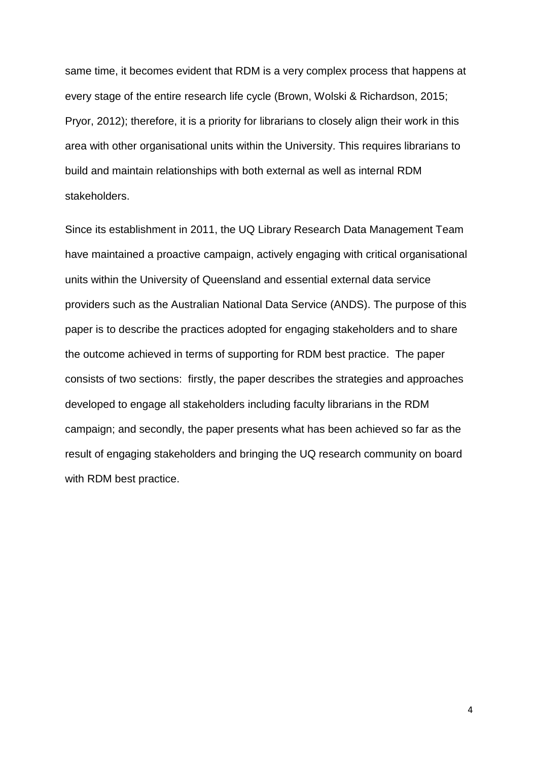same time, it becomes evident that RDM is a very complex process that happens at every stage of the entire research life cycle (Brown, Wolski & Richardson, 2015; Pryor, 2012); therefore, it is a priority for librarians to closely align their work in this area with other organisational units within the University. This requires librarians to build and maintain relationships with both external as well as internal RDM stakeholders.

Since its establishment in 2011, the UQ Library Research Data Management Team have maintained a proactive campaign, actively engaging with critical organisational units within the University of Queensland and essential external data service providers such as the Australian National Data Service (ANDS). The purpose of this paper is to describe the practices adopted for engaging stakeholders and to share the outcome achieved in terms of supporting for RDM best practice. The paper consists of two sections: firstly, the paper describes the strategies and approaches developed to engage all stakeholders including faculty librarians in the RDM campaign; and secondly, the paper presents what has been achieved so far as the result of engaging stakeholders and bringing the UQ research community on board with RDM best practice.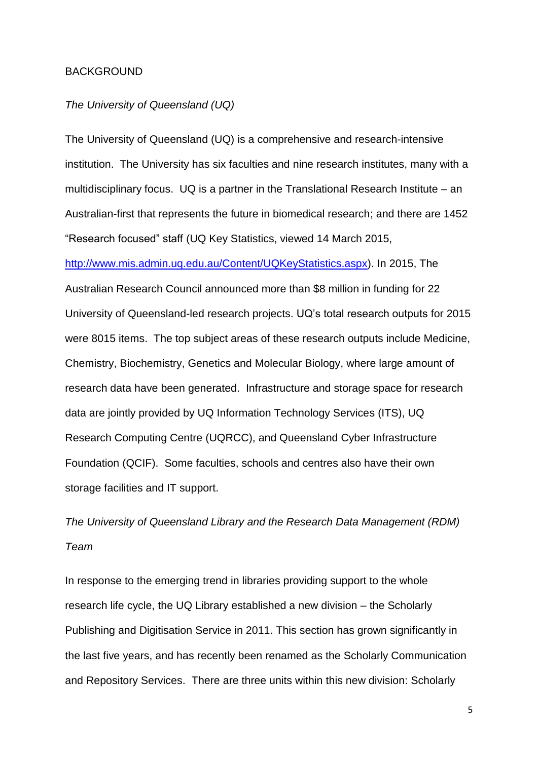#### BACKGROUND

# *The University of Queensland (UQ)*

The University of Queensland (UQ) is a comprehensive and research-intensive institution. The University has six faculties and nine research institutes, many with a multidisciplinary focus. UQ is a partner in the Translational Research Institute – an Australian-first that represents the future in biomedical research; and there are 1452 "Research focused" staff (UQ Key Statistics, viewed 14 March 2015,

[http://www.mis.admin.uq.edu.au/Content/UQKeyStatistics.aspx\)](http://www.mis.admin.uq.edu.au/Content/UQKeyStatistics.aspx). In 2015, The Australian Research Council announced more than \$8 million in funding for 22 University of Queensland-led research projects. UQ's total research outputs for 2015 were 8015 items. The top subject areas of these research outputs include Medicine, Chemistry, Biochemistry, Genetics and Molecular Biology, where large amount of research data have been generated. Infrastructure and storage space for research data are jointly provided by UQ Information Technology Services (ITS), UQ Research Computing Centre (UQRCC), and Queensland Cyber Infrastructure Foundation (QCIF). Some faculties, schools and centres also have their own storage facilities and IT support.

*The University of Queensland Library and the Research Data Management (RDM) Team*

In response to the emerging trend in libraries providing support to the whole research life cycle, the UQ Library established a new division – the Scholarly Publishing and Digitisation Service in 2011. This section has grown significantly in the last five years, and has recently been renamed as the Scholarly Communication and Repository Services. There are three units within this new division: Scholarly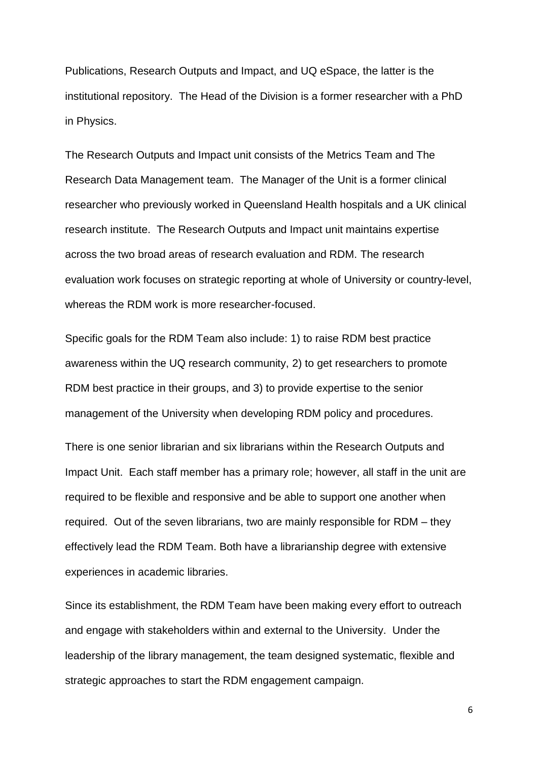Publications, Research Outputs and Impact, and UQ eSpace, the latter is the institutional repository. The Head of the Division is a former researcher with a PhD in Physics.

The Research Outputs and Impact unit consists of the Metrics Team and The Research Data Management team. The Manager of the Unit is a former clinical researcher who previously worked in Queensland Health hospitals and a UK clinical research institute. The Research Outputs and Impact unit maintains expertise across the two broad areas of research evaluation and RDM. The research evaluation work focuses on strategic reporting at whole of University or country-level, whereas the RDM work is more researcher-focused.

Specific goals for the RDM Team also include: 1) to raise RDM best practice awareness within the UQ research community, 2) to get researchers to promote RDM best practice in their groups, and 3) to provide expertise to the senior management of the University when developing RDM policy and procedures.

There is one senior librarian and six librarians within the Research Outputs and Impact Unit. Each staff member has a primary role; however, all staff in the unit are required to be flexible and responsive and be able to support one another when required. Out of the seven librarians, two are mainly responsible for RDM – they effectively lead the RDM Team. Both have a librarianship degree with extensive experiences in academic libraries.

Since its establishment, the RDM Team have been making every effort to outreach and engage with stakeholders within and external to the University. Under the leadership of the library management, the team designed systematic, flexible and strategic approaches to start the RDM engagement campaign.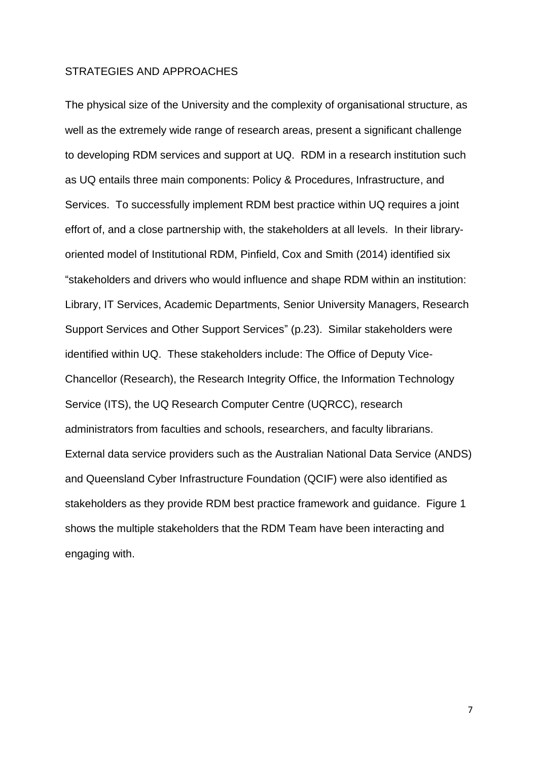## STRATEGIES AND APPROACHES

The physical size of the University and the complexity of organisational structure, as well as the extremely wide range of research areas, present a significant challenge to developing RDM services and support at UQ. RDM in a research institution such as UQ entails three main components: Policy & Procedures, Infrastructure, and Services. To successfully implement RDM best practice within UQ requires a joint effort of, and a close partnership with, the stakeholders at all levels. In their libraryoriented model of Institutional RDM, Pinfield, Cox and Smith (2014) identified six "stakeholders and drivers who would influence and shape RDM within an institution: Library, IT Services, Academic Departments, Senior University Managers, Research Support Services and Other Support Services" (p.23). Similar stakeholders were identified within UQ. These stakeholders include: The Office of Deputy Vice-Chancellor (Research), the Research Integrity Office, the Information Technology Service (ITS), the UQ Research Computer Centre (UQRCC), research administrators from faculties and schools, researchers, and faculty librarians. External data service providers such as the Australian National Data Service (ANDS) and Queensland Cyber Infrastructure Foundation (QCIF) were also identified as stakeholders as they provide RDM best practice framework and guidance. Figure 1 shows the multiple stakeholders that the RDM Team have been interacting and engaging with.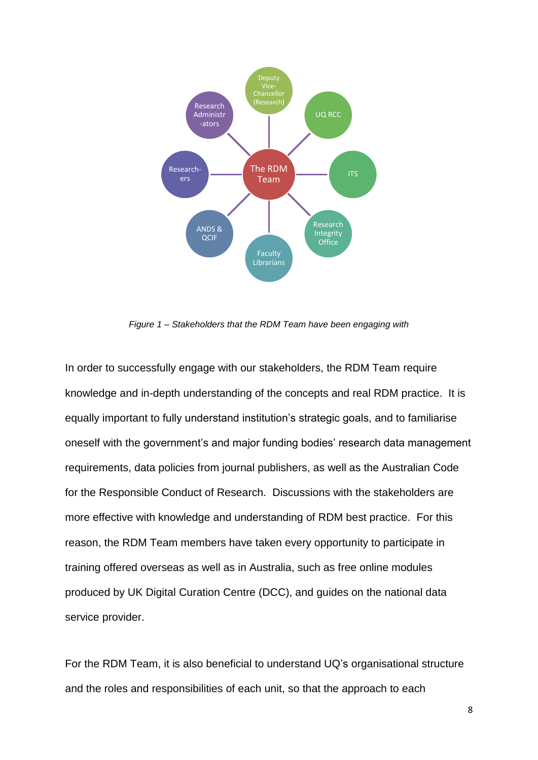

*Figure 1 – Stakeholders that the RDM Team have been engaging with*

In order to successfully engage with our stakeholders, the RDM Team require knowledge and in-depth understanding of the concepts and real RDM practice. It is equally important to fully understand institution's strategic goals, and to familiarise oneself with the government's and major funding bodies' research data management requirements, data policies from journal publishers, as well as the Australian Code for the Responsible Conduct of Research. Discussions with the stakeholders are more effective with knowledge and understanding of RDM best practice. For this reason, the RDM Team members have taken every opportunity to participate in training offered overseas as well as in Australia, such as free online modules produced by UK Digital Curation Centre (DCC), and guides on the national data service provider.

For the RDM Team, it is also beneficial to understand UQ's organisational structure and the roles and responsibilities of each unit, so that the approach to each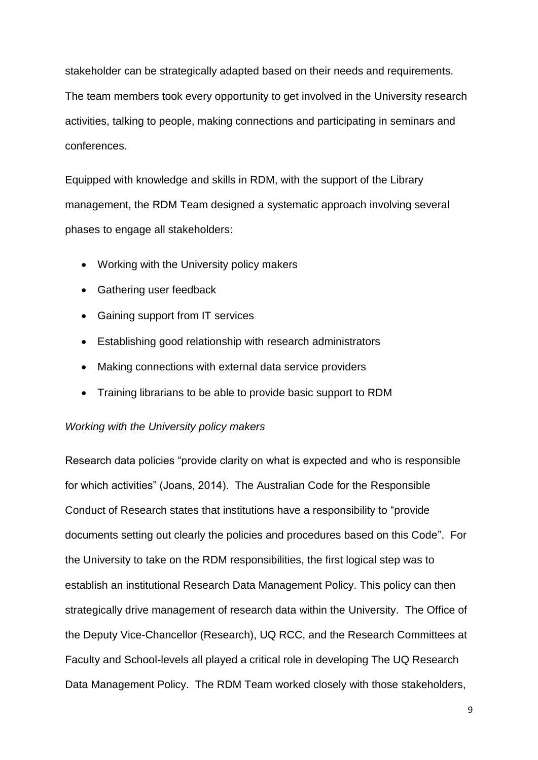stakeholder can be strategically adapted based on their needs and requirements. The team members took every opportunity to get involved in the University research activities, talking to people, making connections and participating in seminars and conferences.

Equipped with knowledge and skills in RDM, with the support of the Library management, the RDM Team designed a systematic approach involving several phases to engage all stakeholders:

- Working with the University policy makers
- Gathering user feedback
- Gaining support from IT services
- Establishing good relationship with research administrators
- Making connections with external data service providers
- Training librarians to be able to provide basic support to RDM

# *Working with the University policy makers*

Research data policies "provide clarity on what is expected and who is responsible for which activities" (Joans, 2014). The Australian Code for the Responsible Conduct of Research states that institutions have a responsibility to "provide documents setting out clearly the policies and procedures based on this Code". For the University to take on the RDM responsibilities, the first logical step was to establish an institutional Research Data Management Policy. This policy can then strategically drive management of research data within the University. The Office of the Deputy Vice-Chancellor (Research), UQ RCC, and the Research Committees at Faculty and School-levels all played a critical role in developing The UQ Research Data Management Policy. The RDM Team worked closely with those stakeholders,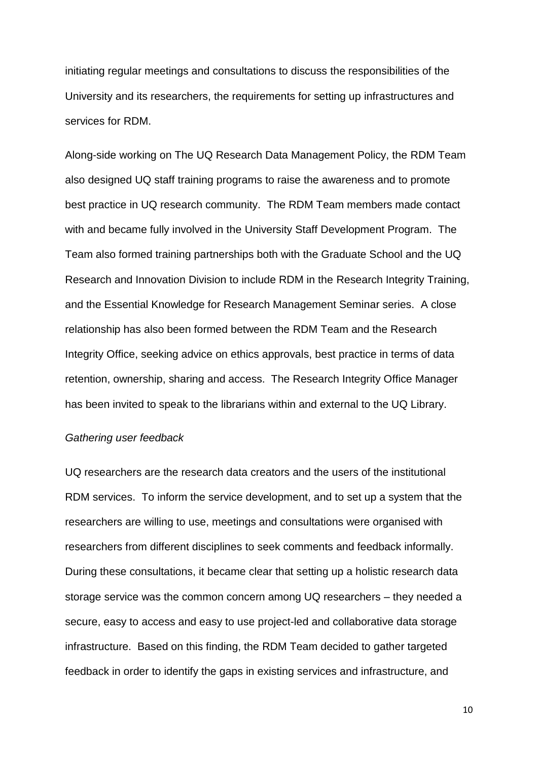initiating regular meetings and consultations to discuss the responsibilities of the University and its researchers, the requirements for setting up infrastructures and services for RDM.

Along-side working on The UQ Research Data Management Policy, the RDM Team also designed UQ staff training programs to raise the awareness and to promote best practice in UQ research community. The RDM Team members made contact with and became fully involved in the University Staff Development Program. The Team also formed training partnerships both with the Graduate School and the UQ Research and Innovation Division to include RDM in the Research Integrity Training, and the Essential Knowledge for Research Management Seminar series. A close relationship has also been formed between the RDM Team and the Research Integrity Office, seeking advice on ethics approvals, best practice in terms of data retention, ownership, sharing and access. The Research Integrity Office Manager has been invited to speak to the librarians within and external to the UQ Library.

#### *Gathering user feedback*

UQ researchers are the research data creators and the users of the institutional RDM services. To inform the service development, and to set up a system that the researchers are willing to use, meetings and consultations were organised with researchers from different disciplines to seek comments and feedback informally. During these consultations, it became clear that setting up a holistic research data storage service was the common concern among UQ researchers – they needed a secure, easy to access and easy to use project-led and collaborative data storage infrastructure. Based on this finding, the RDM Team decided to gather targeted feedback in order to identify the gaps in existing services and infrastructure, and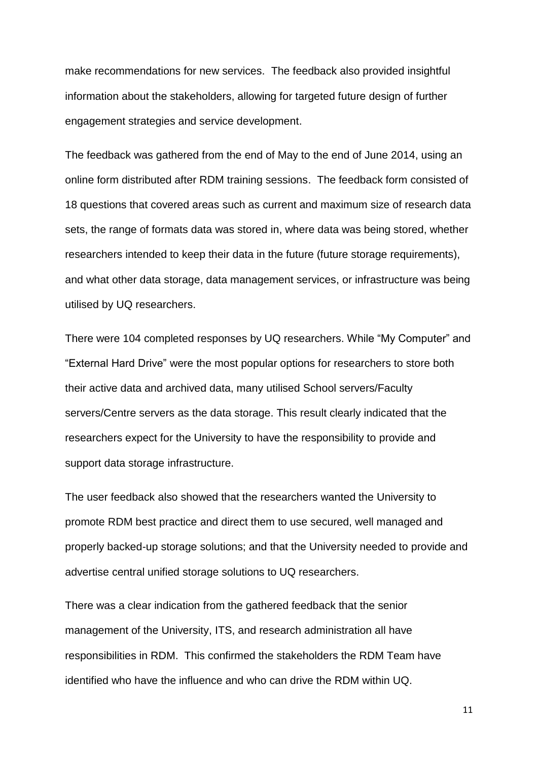make recommendations for new services. The feedback also provided insightful information about the stakeholders, allowing for targeted future design of further engagement strategies and service development.

The feedback was gathered from the end of May to the end of June 2014, using an online form distributed after RDM training sessions. The feedback form consisted of 18 questions that covered areas such as current and maximum size of research data sets, the range of formats data was stored in, where data was being stored, whether researchers intended to keep their data in the future (future storage requirements), and what other data storage, data management services, or infrastructure was being utilised by UQ researchers.

There were 104 completed responses by UQ researchers. While "My Computer" and "External Hard Drive" were the most popular options for researchers to store both their active data and archived data, many utilised School servers/Faculty servers/Centre servers as the data storage. This result clearly indicated that the researchers expect for the University to have the responsibility to provide and support data storage infrastructure.

The user feedback also showed that the researchers wanted the University to promote RDM best practice and direct them to use secured, well managed and properly backed-up storage solutions; and that the University needed to provide and advertise central unified storage solutions to UQ researchers.

There was a clear indication from the gathered feedback that the senior management of the University, ITS, and research administration all have responsibilities in RDM. This confirmed the stakeholders the RDM Team have identified who have the influence and who can drive the RDM within UQ.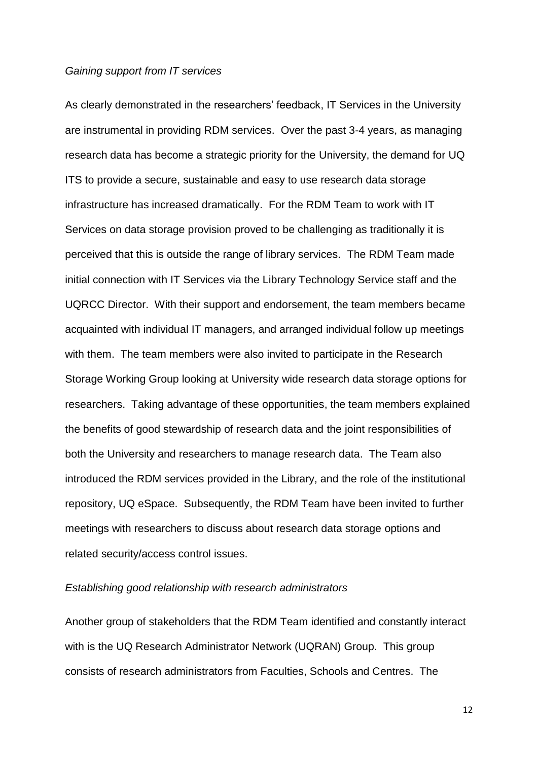# *Gaining support from IT services*

As clearly demonstrated in the researchers' feedback, IT Services in the University are instrumental in providing RDM services. Over the past 3-4 years, as managing research data has become a strategic priority for the University, the demand for UQ ITS to provide a secure, sustainable and easy to use research data storage infrastructure has increased dramatically. For the RDM Team to work with IT Services on data storage provision proved to be challenging as traditionally it is perceived that this is outside the range of library services. The RDM Team made initial connection with IT Services via the Library Technology Service staff and the UQRCC Director. With their support and endorsement, the team members became acquainted with individual IT managers, and arranged individual follow up meetings with them. The team members were also invited to participate in the Research Storage Working Group looking at University wide research data storage options for researchers. Taking advantage of these opportunities, the team members explained the benefits of good stewardship of research data and the joint responsibilities of both the University and researchers to manage research data. The Team also introduced the RDM services provided in the Library, and the role of the institutional repository, UQ eSpace. Subsequently, the RDM Team have been invited to further meetings with researchers to discuss about research data storage options and related security/access control issues.

# *Establishing good relationship with research administrators*

Another group of stakeholders that the RDM Team identified and constantly interact with is the UQ Research Administrator Network (UQRAN) Group. This group consists of research administrators from Faculties, Schools and Centres. The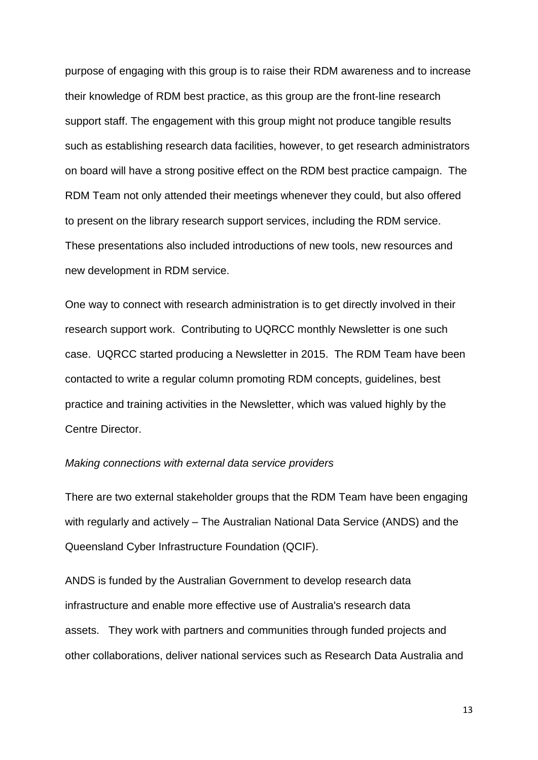purpose of engaging with this group is to raise their RDM awareness and to increase their knowledge of RDM best practice, as this group are the front-line research support staff. The engagement with this group might not produce tangible results such as establishing research data facilities, however, to get research administrators on board will have a strong positive effect on the RDM best practice campaign. The RDM Team not only attended their meetings whenever they could, but also offered to present on the library research support services, including the RDM service. These presentations also included introductions of new tools, new resources and new development in RDM service.

One way to connect with research administration is to get directly involved in their research support work. Contributing to UQRCC monthly Newsletter is one such case. UQRCC started producing a Newsletter in 2015. The RDM Team have been contacted to write a regular column promoting RDM concepts, guidelines, best practice and training activities in the Newsletter, which was valued highly by the Centre Director.

#### *Making connections with external data service providers*

There are two external stakeholder groups that the RDM Team have been engaging with regularly and actively – The Australian National Data Service (ANDS) and the Queensland Cyber Infrastructure Foundation (QCIF).

ANDS is funded by the Australian Government to develop research data infrastructure and enable more effective use of Australia's research data assets. They work with partners and communities through funded projects and other collaborations, deliver national services such as Research Data Australia and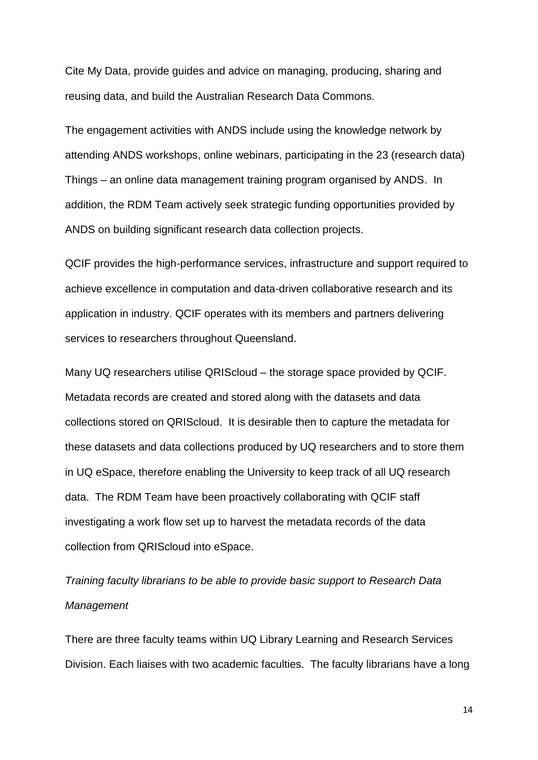Cite My Data, provide guides and advice on managing, producing, sharing and reusing data, and build the Australian Research Data Commons.

The engagement activities with ANDS include using the knowledge network by attending ANDS workshops, online webinars, participating in the 23 (research data) Things – an online data management training program organised by ANDS. In addition, the RDM Team actively seek strategic funding opportunities provided by ANDS on building significant research data collection projects.

QCIF provides the high-performance services, infrastructure and support required to achieve excellence in computation and data-driven collaborative research and its application in industry. QCIF operates with its members and partners delivering services to researchers throughout Queensland.

Many UQ researchers utilise QRIScloud – the storage space provided by QCIF. Metadata records are created and stored along with the datasets and data collections stored on QRIScloud. It is desirable then to capture the metadata for these datasets and data collections produced by UQ researchers and to store them in UQ eSpace, therefore enabling the University to keep track of all UQ research data. The RDM Team have been proactively collaborating with QCIF staff investigating a work flow set up to harvest the metadata records of the data collection from QRIScloud into eSpace.

*Training faculty librarians to be able to provide basic support to Research Data Management*

There are three faculty teams within UQ Library Learning and Research Services Division. Each liaises with two academic faculties. The faculty librarians have a long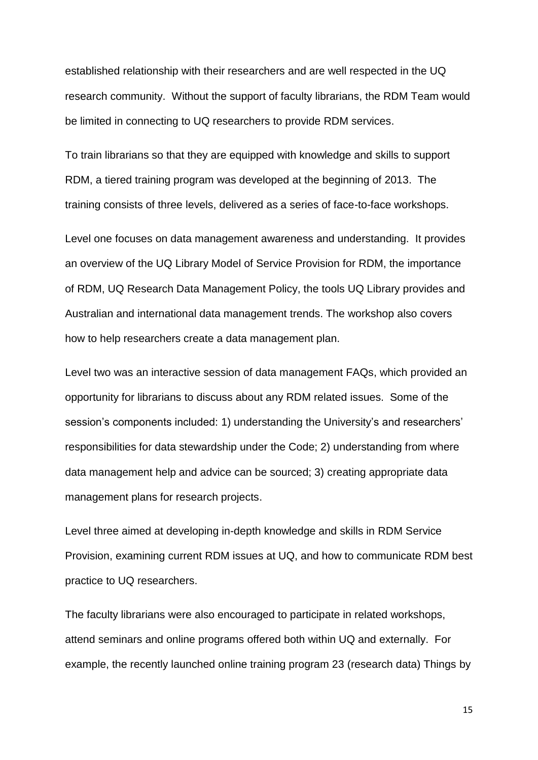established relationship with their researchers and are well respected in the UQ research community. Without the support of faculty librarians, the RDM Team would be limited in connecting to UQ researchers to provide RDM services.

To train librarians so that they are equipped with knowledge and skills to support RDM, a tiered training program was developed at the beginning of 2013. The training consists of three levels, delivered as a series of face-to-face workshops.

Level one focuses on data management awareness and understanding. It provides an overview of the UQ Library Model of Service Provision for RDM, the importance of RDM, UQ Research Data Management Policy, the tools UQ Library provides and Australian and international data management trends. The workshop also covers how to help researchers create a data management plan.

Level two was an interactive session of data management FAQs, which provided an opportunity for librarians to discuss about any RDM related issues. Some of the session's components included: 1) understanding the University's and researchers' responsibilities for data stewardship under the Code; 2) understanding from where data management help and advice can be sourced; 3) creating appropriate data management plans for research projects.

Level three aimed at developing in-depth knowledge and skills in RDM Service Provision, examining current RDM issues at UQ, and how to communicate RDM best practice to UQ researchers.

The faculty librarians were also encouraged to participate in related workshops, attend seminars and online programs offered both within UQ and externally. For example, the recently launched online training program 23 (research data) Things by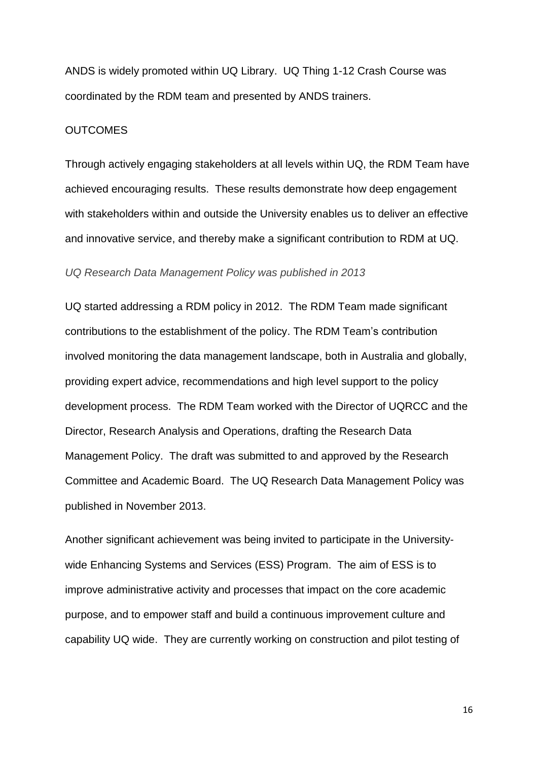ANDS is widely promoted within UQ Library. UQ Thing 1-12 Crash Course was coordinated by the RDM team and presented by ANDS trainers.

# **OUTCOMES**

Through actively engaging stakeholders at all levels within UQ, the RDM Team have achieved encouraging results. These results demonstrate how deep engagement with stakeholders within and outside the University enables us to deliver an effective and innovative service, and thereby make a significant contribution to RDM at UQ.

# *UQ Research Data Management Policy was published in 2013*

UQ started addressing a RDM policy in 2012. The RDM Team made significant contributions to the establishment of the policy. The RDM Team's contribution involved monitoring the data management landscape, both in Australia and globally, providing expert advice, recommendations and high level support to the policy development process. The RDM Team worked with the Director of UQRCC and the Director, Research Analysis and Operations, drafting the Research Data Management Policy. The draft was submitted to and approved by the Research Committee and Academic Board. The UQ Research Data Management Policy was published in November 2013.

Another significant achievement was being invited to participate in the Universitywide Enhancing Systems and Services (ESS) Program. The aim of ESS is to improve administrative activity and processes that impact on the core academic purpose, and to empower staff and build a continuous improvement culture and capability UQ wide. They are currently working on construction and pilot testing of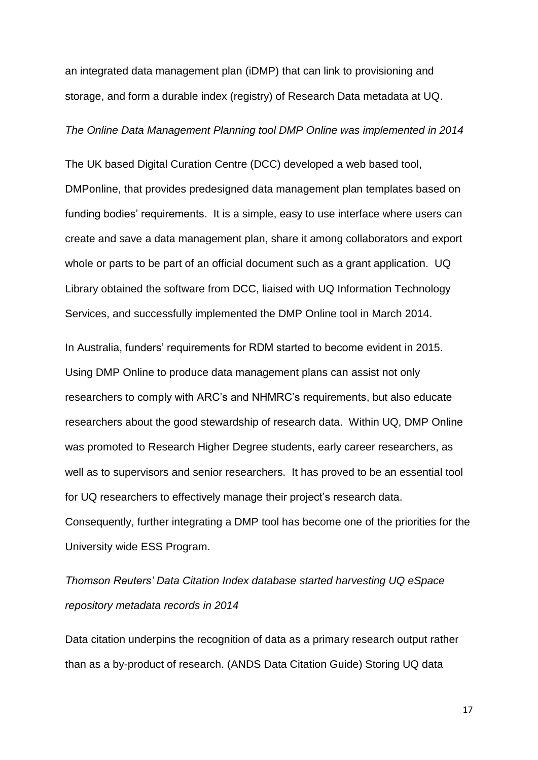an integrated data management plan (iDMP) that can link to provisioning and storage, and form a durable index (registry) of Research Data metadata at UQ.

## *The Online Data Management Planning tool DMP Online was implemented in 2014*

The UK based Digital Curation Centre (DCC) developed a web based tool, DMPonline, that provides predesigned data management plan templates based on funding bodies' requirements. It is a simple, easy to use interface where users can create and save a data management plan, share it among collaborators and export whole or parts to be part of an official document such as a grant application. UQ Library obtained the software from DCC, liaised with UQ Information Technology Services, and successfully implemented the DMP Online tool in March 2014.

In Australia, funders' requirements for RDM started to become evident in 2015. Using DMP Online to produce data management plans can assist not only researchers to comply with ARC's and NHMRC's requirements, but also educate researchers about the good stewardship of research data. Within UQ, DMP Online was promoted to Research Higher Degree students, early career researchers, as well as to supervisors and senior researchers. It has proved to be an essential tool for UQ researchers to effectively manage their project's research data. Consequently, further integrating a DMP tool has become one of the priorities for the University wide ESS Program.

*Thomson Reuters' Data Citation Index database started harvesting UQ eSpace repository metadata records in 2014*

Data citation underpins the recognition of data as a primary research output rather than as a by-product of research. (ANDS Data Citation Guide) Storing UQ data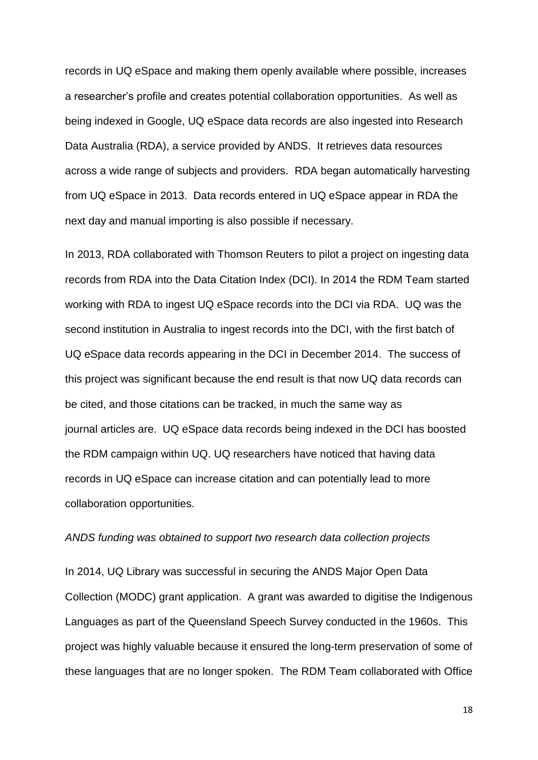records in UQ eSpace and making them openly available where possible, increases a researcher's profile and creates potential collaboration opportunities. As well as being indexed in Google, UQ eSpace data records are also ingested into Research Data Australia (RDA), a service provided by ANDS. It retrieves data resources across a wide range of subjects and providers. RDA began automatically harvesting from UQ eSpace in 2013. Data records entered in UQ eSpace appear in RDA the next day and manual importing is also possible if necessary.

In 2013, RDA collaborated with Thomson Reuters to pilot a project on ingesting data records from RDA into the Data Citation Index (DCI). In 2014 the RDM Team started working with RDA to ingest UQ eSpace records into the DCI via RDA. UQ was the second institution in Australia to ingest records into the DCI, with the first batch of UQ eSpace data records appearing in the DCI in December 2014. The success of this project was significant because the end result is that now UQ data records can be cited, and those citations can be tracked, in much the same way as journal articles are. UQ eSpace data records being indexed in the DCI has boosted the RDM campaign within UQ. UQ researchers have noticed that having data records in UQ eSpace can increase citation and can potentially lead to more collaboration opportunities.

# *ANDS funding was obtained to support two research data collection projects*

In 2014, UQ Library was successful in securing the ANDS Major Open Data Collection (MODC) grant application. A grant was awarded to digitise the Indigenous Languages as part of the Queensland Speech Survey conducted in the 1960s. This project was highly valuable because it ensured the long-term preservation of some of these languages that are no longer spoken. The RDM Team collaborated with Office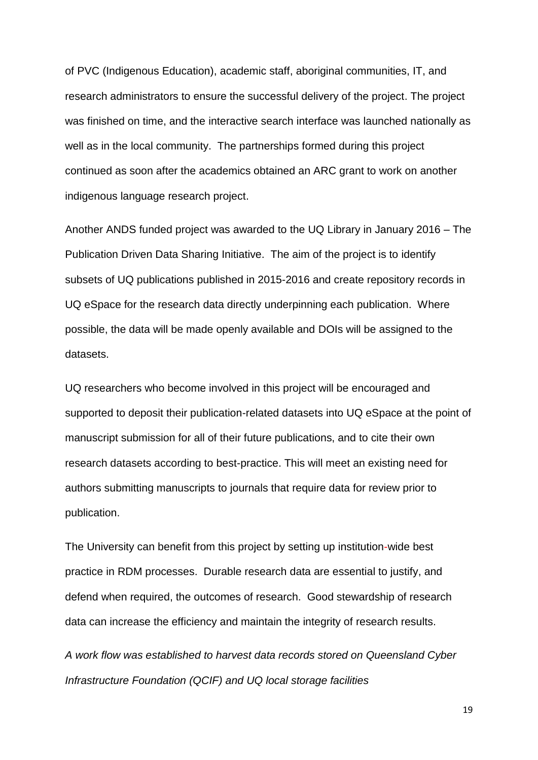of PVC (Indigenous Education), academic staff, aboriginal communities, IT, and research administrators to ensure the successful delivery of the project. The project was finished on time, and the interactive search interface was launched nationally as well as in the local community. The partnerships formed during this project continued as soon after the academics obtained an ARC grant to work on another indigenous language research project.

Another ANDS funded project was awarded to the UQ Library in January 2016 – The Publication Driven Data Sharing Initiative. The aim of the project is to identify subsets of UQ publications published in 2015-2016 and create repository records in UQ eSpace for the research data directly underpinning each publication. Where possible, the data will be made openly available and DOIs will be assigned to the datasets.

UQ researchers who become involved in this project will be encouraged and supported to deposit their publication-related datasets into UQ eSpace at the point of manuscript submission for all of their future publications, and to cite their own research datasets according to best-practice. This will meet an existing need for authors submitting manuscripts to journals that require data for review prior to publication.

The University can benefit from this project by setting up institution-wide best practice in RDM processes. Durable research data are essential to justify, and defend when required, the outcomes of research. Good stewardship of research data can increase the efficiency and maintain the integrity of research results.

*A work flow was established to harvest data records stored on Queensland Cyber Infrastructure Foundation (QCIF) and UQ local storage facilities*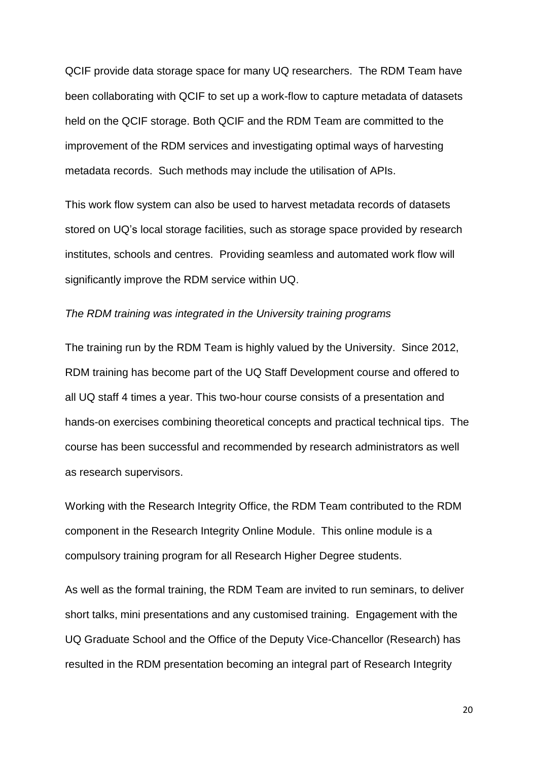QCIF provide data storage space for many UQ researchers. The RDM Team have been collaborating with QCIF to set up a work-flow to capture metadata of datasets held on the QCIF storage. Both QCIF and the RDM Team are committed to the improvement of the RDM services and investigating optimal ways of harvesting metadata records. Such methods may include the utilisation of APIs.

This work flow system can also be used to harvest metadata records of datasets stored on UQ's local storage facilities, such as storage space provided by research institutes, schools and centres. Providing seamless and automated work flow will significantly improve the RDM service within UQ.

#### *The RDM training was integrated in the University training programs*

The training run by the RDM Team is highly valued by the University. Since 2012, RDM training has become part of the UQ Staff Development course and offered to all UQ staff 4 times a year. This two-hour course consists of a presentation and hands-on exercises combining theoretical concepts and practical technical tips. The course has been successful and recommended by research administrators as well as research supervisors.

Working with the Research Integrity Office, the RDM Team contributed to the RDM component in the Research Integrity Online Module. This online module is a compulsory training program for all Research Higher Degree students.

As well as the formal training, the RDM Team are invited to run seminars, to deliver short talks, mini presentations and any customised training. Engagement with the UQ Graduate School and the Office of the Deputy Vice-Chancellor (Research) has resulted in the RDM presentation becoming an integral part of Research Integrity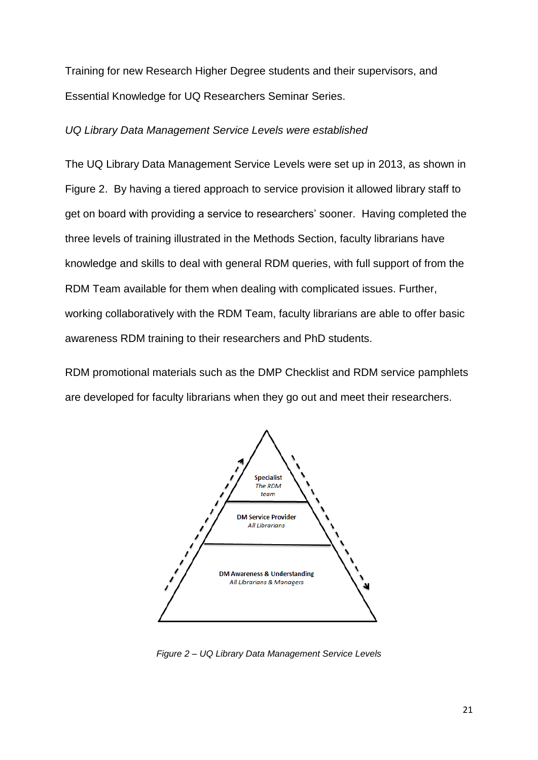Training for new Research Higher Degree students and their supervisors, and Essential Knowledge for UQ Researchers Seminar Series.

# *UQ Library Data Management Service Levels were established*

The UQ Library Data Management Service Levels were set up in 2013, as shown in Figure 2. By having a tiered approach to service provision it allowed library staff to get on board with providing a service to researchers' sooner. Having completed the three levels of training illustrated in the Methods Section, faculty librarians have knowledge and skills to deal with general RDM queries, with full support of from the RDM Team available for them when dealing with complicated issues. Further, working collaboratively with the RDM Team, faculty librarians are able to offer basic awareness RDM training to their researchers and PhD students.

RDM promotional materials such as the DMP Checklist and RDM service pamphlets are developed for faculty librarians when they go out and meet their researchers.



*Figure 2 – UQ Library Data Management Service Levels*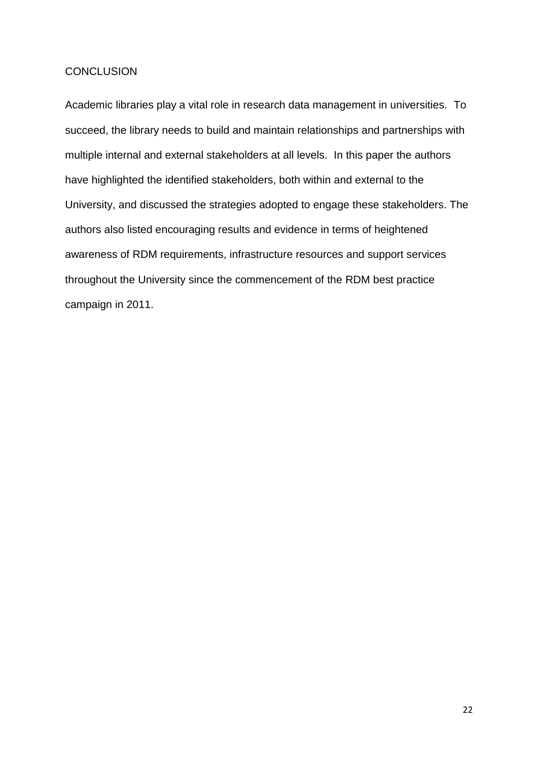# **CONCLUSION**

Academic libraries play a vital role in research data management in universities. To succeed, the library needs to build and maintain relationships and partnerships with multiple internal and external stakeholders at all levels. In this paper the authors have highlighted the identified stakeholders, both within and external to the University, and discussed the strategies adopted to engage these stakeholders. The authors also listed encouraging results and evidence in terms of heightened awareness of RDM requirements, infrastructure resources and support services throughout the University since the commencement of the RDM best practice campaign in 2011.